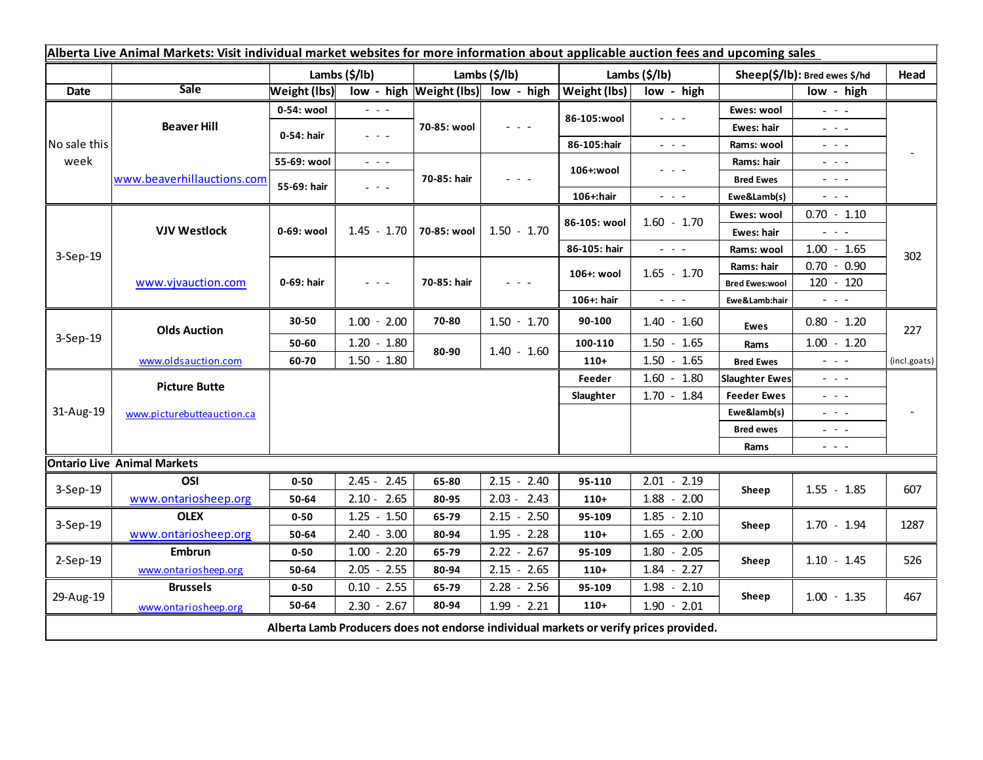| Alberta Live Animal Markets: Visit individual market websites for more information about applicable auction fees and upcoming sales |                                           |                           |                                                                                                                           |                       |                                                                                                                           |                           |                                                                                                |                                             |                                                                                                                           |              |
|-------------------------------------------------------------------------------------------------------------------------------------|-------------------------------------------|---------------------------|---------------------------------------------------------------------------------------------------------------------------|-----------------------|---------------------------------------------------------------------------------------------------------------------------|---------------------------|------------------------------------------------------------------------------------------------|---------------------------------------------|---------------------------------------------------------------------------------------------------------------------------|--------------|
|                                                                                                                                     |                                           | Lambs $(\frac{2}{3})$ lb) |                                                                                                                           | Lambs $(\frac{2}{3})$ |                                                                                                                           | Lambs $(\frac{2}{3})$ lb) |                                                                                                | Sheep(\$/lb): Bred ewes \$/hd               |                                                                                                                           | Head         |
| Date                                                                                                                                | <b>Sale</b>                               | <b>Weight (lbs)</b>       |                                                                                                                           |                       | low - high Weight (lbs) low - high                                                                                        | Weight (lbs)              | low - high                                                                                     |                                             | low - high                                                                                                                |              |
| No sale this<br>week                                                                                                                | <b>Beaver Hill</b>                        | 0-54: wool                | $ -$                                                                                                                      | 70-85: wool           | $\frac{1}{2} \left( \frac{1}{2} \right) \left( \frac{1}{2} \right) \left( \frac{1}{2} \right)$                            | 86-105:wool               | $\frac{1}{2} \left( \frac{1}{2} \right) \left( \frac{1}{2} \right) \left( \frac{1}{2} \right)$ | Ewes: wool                                  | $\omega_{\rm{eff}}$ and $\omega_{\rm{eff}}$                                                                               |              |
|                                                                                                                                     |                                           | 0-54: hair                | $ -$                                                                                                                      |                       |                                                                                                                           |                           |                                                                                                | Ewes: hair                                  | $\omega_{\rm{eff}}$ and $\omega_{\rm{eff}}$                                                                               |              |
|                                                                                                                                     |                                           |                           |                                                                                                                           |                       |                                                                                                                           | 86-105:hair               | $\omega_{\rm{eff}}=0.1$                                                                        | Rams: wool                                  | $\omega_{\rm{eff}}=0.1$                                                                                                   |              |
|                                                                                                                                     | www.beaverhillauctions.com                | 55-69: wool               | $\omega_{\rm{eff}}$ and $\omega_{\rm{eff}}$                                                                               | 70-85: hair           | $\frac{1}{2} \left( \frac{1}{2} \right) \left( \frac{1}{2} \right) \left( \frac{1}{2} \right) \left( \frac{1}{2} \right)$ | 106+:wool                 | - - -                                                                                          | Rams: hair                                  | $\omega_{\rm{eff}}$ and $\omega_{\rm{eff}}$                                                                               |              |
|                                                                                                                                     |                                           | 55-69: hair               | $\frac{1}{2}$ , $\frac{1}{2}$ , $\frac{1}{2}$                                                                             |                       |                                                                                                                           |                           |                                                                                                | <b>Bred Ewes</b>                            | $\frac{1}{2} \left( \frac{1}{2} \right) \left( \frac{1}{2} \right) \left( \frac{1}{2} \right) \left( \frac{1}{2} \right)$ |              |
|                                                                                                                                     |                                           |                           |                                                                                                                           |                       |                                                                                                                           | 106+:hair                 | $\sim$ 10 $\sim$                                                                               | Ewe&Lamb(s)                                 | $\sim$ 10 $\sim$ 10 $\sim$                                                                                                |              |
| 3-Sep-19                                                                                                                            | <b>VJV Westlock</b><br>www.vjvauction.com | 0-69: wool                | $1.45 - 1.70$                                                                                                             | 70-85: wool           | $1.50 - 1.70$                                                                                                             | 86-105: wool              | $1.60 - 1.70$                                                                                  | Ewes: wool                                  | $0.70 - 1.10$                                                                                                             | 302          |
|                                                                                                                                     |                                           |                           |                                                                                                                           |                       |                                                                                                                           |                           |                                                                                                | Ewes: hair                                  | $\omega_{\rm{eff}}$ and $\omega_{\rm{eff}}$                                                                               |              |
|                                                                                                                                     |                                           |                           |                                                                                                                           |                       |                                                                                                                           | 86-105: hair              | $\omega_{\rm{eff}}$ and $\omega_{\rm{eff}}$                                                    | Rams: wool                                  | $1.00 - 1.65$                                                                                                             |              |
|                                                                                                                                     |                                           | 0-69: hair                | $\frac{1}{2} \left( \frac{1}{2} \right) \left( \frac{1}{2} \right) \left( \frac{1}{2} \right) \left( \frac{1}{2} \right)$ | 70-85: hair           | $ -$                                                                                                                      | 106+: wool                | $1.65 - 1.70$                                                                                  | Rams: hair                                  | $0.70 - 0.90$                                                                                                             |              |
|                                                                                                                                     |                                           |                           |                                                                                                                           |                       |                                                                                                                           |                           |                                                                                                | <b>Bred Ewes:wool</b>                       | 120 - 120                                                                                                                 |              |
|                                                                                                                                     |                                           |                           |                                                                                                                           |                       |                                                                                                                           | 106+: hair                | $\omega_{\rm{max}}$                                                                            | Ewe&Lamb:hair                               | $\sigma_{\rm c}$ , $\sigma_{\rm c}$ , $\sigma$                                                                            |              |
| 3-Sep-19                                                                                                                            | <b>Olds Auction</b>                       | 30-50                     | $1.00 - 2.00$                                                                                                             | 70-80                 | $1.50 - 1.70$                                                                                                             | 90-100                    | $1.40 - 1.60$                                                                                  | <b>Ewes</b>                                 | $0.80 - 1.20$                                                                                                             | 227          |
|                                                                                                                                     |                                           | 50-60                     | $1.20 - 1.80$                                                                                                             | 80-90                 | $1.40 - 1.60$                                                                                                             | 100-110                   | $1.50 - 1.65$                                                                                  | Rams                                        | $1.00 - 1.20$                                                                                                             |              |
|                                                                                                                                     | www.oldsauction.com                       | 60-70                     | $1.50 - 1.80$                                                                                                             |                       |                                                                                                                           | $110+$                    | $1.50 - 1.65$                                                                                  | <b>Bred Ewes</b>                            | $\sigma_{\rm{eff}}$ and $\sigma_{\rm{eff}}$                                                                               | (incl.goats) |
| 31-Aug-19                                                                                                                           | <b>Picture Butte</b>                      |                           |                                                                                                                           |                       |                                                                                                                           | Feeder                    | $1.60 - 1.80$                                                                                  | <b>Slaughter Ewes</b>                       | $\omega_{\rm{max}}$                                                                                                       |              |
|                                                                                                                                     | www.picturebutteauction.ca                |                           |                                                                                                                           |                       |                                                                                                                           | Slaughter                 | $1.70 - 1.84$                                                                                  | <b>Feeder Ewes</b>                          | $\frac{1}{2} \left( \frac{1}{2} \right) \frac{1}{2} \left( \frac{1}{2} \right) \frac{1}{2} \left( \frac{1}{2} \right)$    |              |
|                                                                                                                                     |                                           |                           |                                                                                                                           |                       |                                                                                                                           |                           | Ewe&lamb(s)                                                                                    | $\omega_{\rm{eff}}$ and $\omega_{\rm{eff}}$ |                                                                                                                           |              |
|                                                                                                                                     |                                           |                           |                                                                                                                           |                       |                                                                                                                           |                           | <b>Bred ewes</b>                                                                               | $\omega_{\rm{eff}}$ and $\omega_{\rm{eff}}$ |                                                                                                                           |              |
|                                                                                                                                     |                                           |                           |                                                                                                                           |                       |                                                                                                                           |                           |                                                                                                | Rams                                        | $\frac{1}{2} \left( \frac{1}{2} \right) = \frac{1}{2} \left( \frac{1}{2} \right) = \frac{1}{2}$                           |              |
| <b>Ontario Live Animal Markets</b>                                                                                                  |                                           |                           |                                                                                                                           |                       |                                                                                                                           |                           |                                                                                                |                                             |                                                                                                                           |              |
| 3-Sep-19                                                                                                                            | OSI                                       | $0 - 50$                  | $2.45 - 2.45$                                                                                                             | 65-80                 | $2.15 - 2.40$                                                                                                             | 95-110                    | $2.01 - 2.19$                                                                                  | Sheep                                       | $1.55 - 1.85$                                                                                                             | 607          |
|                                                                                                                                     | www.ontariosheep.org                      | 50-64                     | $2.10 - 2.65$                                                                                                             | 80-95                 | $2.03 - 2.43$                                                                                                             | $110+$                    | $1.88 - 2.00$                                                                                  |                                             |                                                                                                                           |              |
| 3-Sep-19                                                                                                                            | <b>OLEX</b>                               | 0-50                      | 1.25<br>$-1.50$                                                                                                           | 65-79                 | $2.15 - 2.50$                                                                                                             | 95-109                    | $1.85 - 2.10$                                                                                  | Sheep                                       | $1.70 - 1.94$                                                                                                             | 1287         |
|                                                                                                                                     | www.ontariosheep.org                      | 50-64                     | $2.40 - 3.00$                                                                                                             | 80-94                 | $1.95 - 2.28$                                                                                                             | $110+$                    | $1.65 - 2.00$                                                                                  |                                             |                                                                                                                           |              |
| $2-Sep-19$                                                                                                                          | <b>Embrun</b>                             | 0-50                      | $1.00 - 2.20$                                                                                                             | 65-79                 | $2.22 - 2.67$                                                                                                             | 95-109                    | $1.80 - 2.05$                                                                                  | Sheep                                       | $1.10 - 1.45$                                                                                                             | 526          |
|                                                                                                                                     | www.ontariosheep.org                      | 50-64                     | $2.05 - 2.55$                                                                                                             | 80-94                 | $2.15 - 2.65$                                                                                                             | $110+$                    | $1.84 - 2.27$                                                                                  |                                             |                                                                                                                           |              |
| 29-Aug-19                                                                                                                           | <b>Brussels</b>                           | $0 - 50$                  | $0.10 - 2.55$                                                                                                             | 65-79                 | $2.28 - 2.56$                                                                                                             | 95-109                    | $1.98 - 2.10$                                                                                  | Sheep                                       | $1.00 - 1.35$                                                                                                             | 467          |
|                                                                                                                                     | www.ontariosheep.org                      | 50-64                     | $2.30 - 2.67$                                                                                                             | 80-94                 | $1.99 - 2.21$                                                                                                             | $110+$                    | $1.90 - 2.01$                                                                                  |                                             |                                                                                                                           |              |
| Alberta Lamb Producers does not endorse individual markets or verify prices provided.                                               |                                           |                           |                                                                                                                           |                       |                                                                                                                           |                           |                                                                                                |                                             |                                                                                                                           |              |